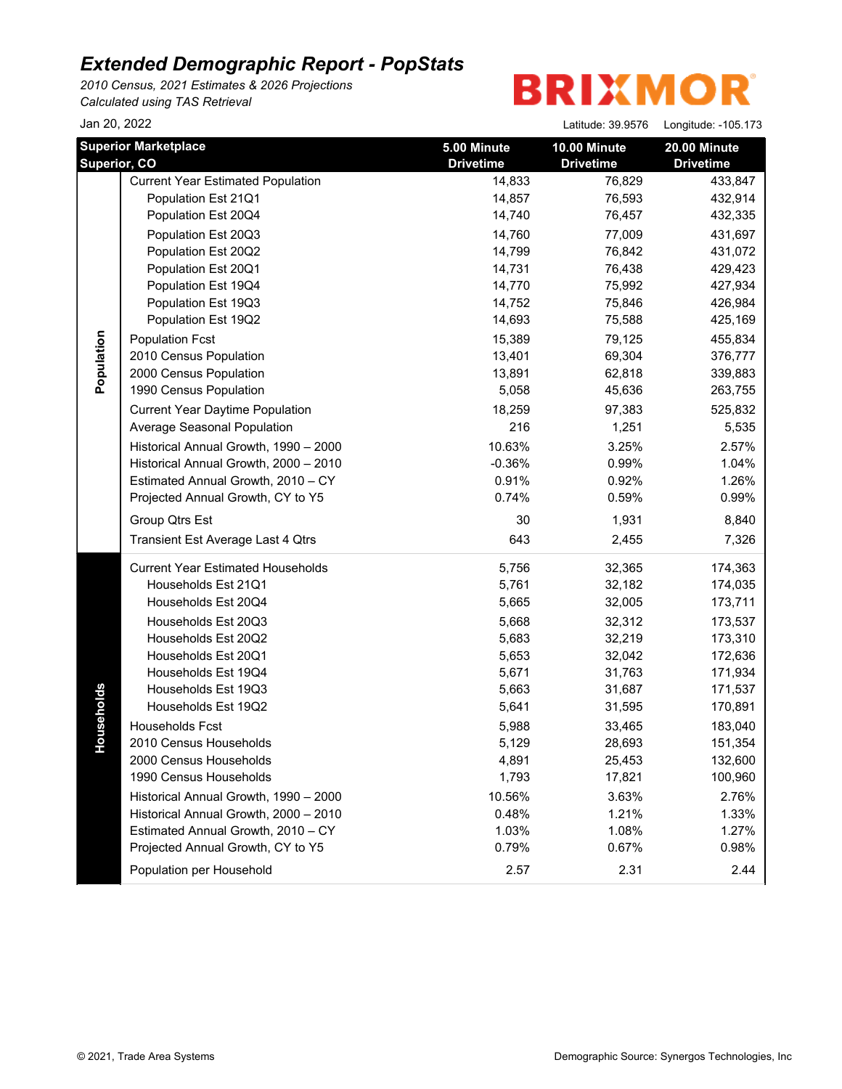*2010 Census, 2021 Estimates & 2026 Projections Calculated using TAS Retrieval*

## **BRIXMOR**

| Jan 20, 2022               |                                                                                                                                                                                                                                                                                                                                                                                                                                                                                                                                                                                                  |                                                                                                                                                                                                                  | Latitude: 39.9576                                                                                                                                                                                                  | Longitude: -105.173                                                                                                                                                                                                              |
|----------------------------|--------------------------------------------------------------------------------------------------------------------------------------------------------------------------------------------------------------------------------------------------------------------------------------------------------------------------------------------------------------------------------------------------------------------------------------------------------------------------------------------------------------------------------------------------------------------------------------------------|------------------------------------------------------------------------------------------------------------------------------------------------------------------------------------------------------------------|--------------------------------------------------------------------------------------------------------------------------------------------------------------------------------------------------------------------|----------------------------------------------------------------------------------------------------------------------------------------------------------------------------------------------------------------------------------|
|                            | <b>Superior Marketplace</b>                                                                                                                                                                                                                                                                                                                                                                                                                                                                                                                                                                      | 5.00 Minute                                                                                                                                                                                                      | 10.00 Minute                                                                                                                                                                                                       | 20.00 Minute                                                                                                                                                                                                                     |
| Superior, CO<br>Population | <b>Current Year Estimated Population</b><br>Population Est 21Q1<br>Population Est 20Q4<br>Population Est 20Q3<br>Population Est 20Q2<br>Population Est 20Q1<br>Population Est 19Q4<br>Population Est 19Q3<br>Population Est 19Q2<br><b>Population Fcst</b><br>2010 Census Population<br>2000 Census Population<br>1990 Census Population<br><b>Current Year Daytime Population</b><br>Average Seasonal Population<br>Historical Annual Growth, 1990 - 2000<br>Historical Annual Growth, 2000 - 2010<br>Estimated Annual Growth, 2010 - CY<br>Projected Annual Growth, CY to Y5<br>Group Qtrs Est | <b>Drivetime</b><br>14,833<br>14,857<br>14,740<br>14,760<br>14,799<br>14,731<br>14,770<br>14,752<br>14,693<br>15,389<br>13,401<br>13,891<br>5,058<br>18,259<br>216<br>10.63%<br>$-0.36%$<br>0.91%<br>0.74%<br>30 | <b>Drivetime</b><br>76,829<br>76,593<br>76,457<br>77,009<br>76,842<br>76,438<br>75,992<br>75,846<br>75,588<br>79,125<br>69,304<br>62,818<br>45,636<br>97,383<br>1,251<br>3.25%<br>0.99%<br>0.92%<br>0.59%<br>1,931 | <b>Drivetime</b><br>433,847<br>432,914<br>432,335<br>431,697<br>431,072<br>429,423<br>427,934<br>426,984<br>425,169<br>455,834<br>376,777<br>339,883<br>263,755<br>525,832<br>5,535<br>2.57%<br>1.04%<br>1.26%<br>0.99%<br>8,840 |
| seholds<br>유               | Transient Est Average Last 4 Qtrs<br><b>Current Year Estimated Households</b><br>Households Est 21Q1<br>Households Est 20Q4<br>Households Est 20Q3<br>Households Est 20Q2<br>Households Est 20Q1<br>Households Est 19Q4<br>Households Est 19Q3<br>Households Est 19Q2<br>Households Fcst<br>2010 Census Households<br>2000 Census Households<br>1990 Census Households<br>Historical Annual Growth, 1990 - 2000<br>Historical Annual Growth, 2000 - 2010<br>Estimated Annual Growth, 2010 - CY<br>Projected Annual Growth, CY to Y5<br>Population per Household                                  | 643<br>5,756<br>5,761<br>5,665<br>5,668<br>5,683<br>5,653<br>5,671<br>5,663<br>5,641<br>5,988<br>5,129<br>4,891<br>1,793<br>10.56%<br>0.48%<br>1.03%<br>0.79%<br>2.57                                            | 2,455<br>32,365<br>32,182<br>32,005<br>32,312<br>32,219<br>32,042<br>31,763<br>31,687<br>31,595<br>33,465<br>28,693<br>25,453<br>17,821<br>3.63%<br>1.21%<br>1.08%<br>0.67%<br>2.31                                | 7,326<br>174,363<br>174,035<br>173,711<br>173,537<br>173,310<br>172,636<br>171,934<br>171,537<br>170,891<br>183,040<br>151,354<br>132,600<br>100,960<br>2.76%<br>1.33%<br>1.27%<br>0.98%<br>2.44                                 |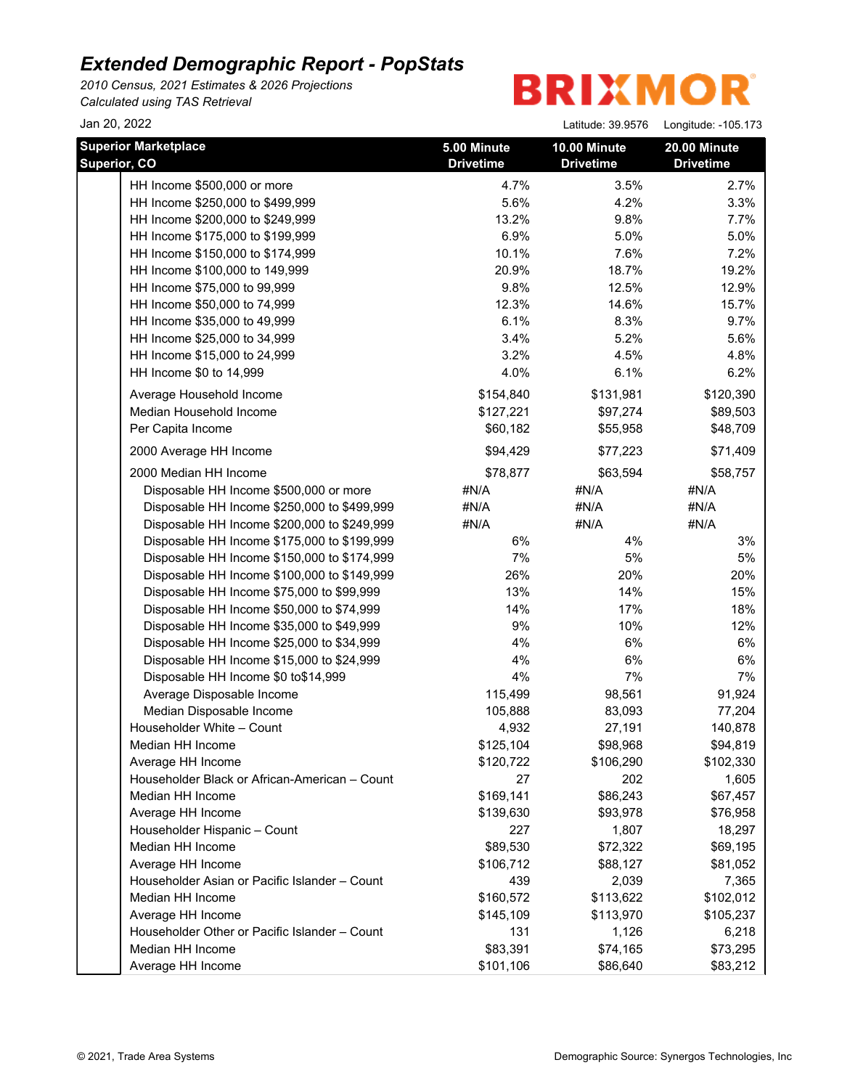*2010 Census, 2021 Estimates & 2026 Projections Calculated using TAS Retrieval*

**BRIXMOR** 

Jan 20, 2022 Latitude: 39.9576 Longitude: -105.173

| <b>Superior Marketplace</b><br>Superior, CO   | 5.00 Minute<br><b>Drivetime</b> | 10.00 Minute<br><b>Drivetime</b> | 20.00 Minute<br><b>Drivetime</b> |
|-----------------------------------------------|---------------------------------|----------------------------------|----------------------------------|
| HH Income \$500,000 or more                   | 4.7%                            | 3.5%                             | 2.7%                             |
| HH Income \$250,000 to \$499,999              | 5.6%                            | 4.2%                             | 3.3%                             |
| HH Income \$200,000 to \$249,999              | 13.2%                           | 9.8%                             | 7.7%                             |
| HH Income \$175,000 to \$199,999              | 6.9%                            | 5.0%                             | 5.0%                             |
| HH Income \$150,000 to \$174,999              | 10.1%                           | 7.6%                             | 7.2%                             |
| HH Income \$100,000 to 149,999                | 20.9%                           | 18.7%                            | 19.2%                            |
| HH Income \$75,000 to 99,999                  | 9.8%                            | 12.5%                            | 12.9%                            |
| HH Income \$50,000 to 74,999                  | 12.3%                           | 14.6%                            | 15.7%                            |
| HH Income \$35,000 to 49,999                  | 6.1%                            | 8.3%                             | 9.7%                             |
| HH Income \$25,000 to 34,999                  | 3.4%                            | 5.2%                             | 5.6%                             |
| HH Income \$15,000 to 24,999                  | 3.2%                            | 4.5%                             | 4.8%                             |
| HH Income \$0 to 14,999                       | 4.0%                            | 6.1%                             | 6.2%                             |
| Average Household Income                      | \$154,840                       | \$131,981                        | \$120,390                        |
| Median Household Income                       | \$127,221                       | \$97,274                         | \$89,503                         |
| Per Capita Income                             | \$60,182                        | \$55,958                         | \$48,709                         |
| 2000 Average HH Income                        | \$94,429                        | \$77,223                         | \$71,409                         |
| 2000 Median HH Income                         | \$78,877                        | \$63,594                         | \$58,757                         |
| Disposable HH Income \$500,000 or more        | #N/A                            | #N/A                             | #N/A                             |
| Disposable HH Income \$250,000 to \$499,999   | #N/A                            | #N/A                             | #N/A                             |
| Disposable HH Income \$200,000 to \$249,999   | #N/A                            | #N/A                             | #N/A                             |
| Disposable HH Income \$175,000 to \$199,999   | 6%                              | 4%                               | 3%                               |
| Disposable HH Income \$150,000 to \$174,999   | 7%                              | 5%                               | 5%                               |
| Disposable HH Income \$100,000 to \$149,999   | 26%                             | 20%                              | 20%                              |
| Disposable HH Income \$75,000 to \$99,999     | 13%                             | 14%                              | 15%                              |
| Disposable HH Income \$50,000 to \$74,999     | 14%                             | 17%                              | 18%                              |
| Disposable HH Income \$35,000 to \$49,999     | $9\%$                           | 10%                              | 12%                              |
| Disposable HH Income \$25,000 to \$34,999     | 4%                              | $6\%$                            | 6%                               |
| Disposable HH Income \$15,000 to \$24,999     | 4%                              | 6%                               | 6%                               |
| Disposable HH Income \$0 to\$14,999           | 4%                              | 7%                               | 7%                               |
| Average Disposable Income                     | 115,499                         | 98,561                           | 91,924                           |
| Median Disposable Income                      | 105,888                         | 83,093                           | 77,204                           |
| Householder White - Count                     | 4,932                           | 27,191                           | 140,878                          |
| Median HH Income                              | \$125,104                       | \$98,968                         | \$94,819                         |
| Average HH Income                             | \$120,722                       | \$106,290                        | \$102,330                        |
| Householder Black or African-American - Count | 27                              | 202                              | 1,605                            |
| Median HH Income                              | \$169,141                       | \$86,243                         | \$67,457                         |
| Average HH Income                             | \$139,630                       | \$93,978                         | \$76,958                         |
| Householder Hispanic - Count                  | 227                             | 1,807                            | 18,297                           |
| Median HH Income                              | \$89,530                        | \$72,322                         | \$69,195                         |
| Average HH Income                             | \$106,712                       | \$88,127                         | \$81,052                         |
| Householder Asian or Pacific Islander - Count | 439                             | 2,039                            | 7,365                            |
| Median HH Income                              | \$160,572                       | \$113,622                        | \$102,012                        |
| Average HH Income                             | \$145,109                       | \$113,970                        | \$105,237                        |
| Householder Other or Pacific Islander - Count | 131                             | 1,126                            | 6,218                            |
| Median HH Income                              | \$83,391                        | \$74,165                         | \$73,295                         |
| Average HH Income                             | \$101,106                       | \$86,640                         | \$83,212                         |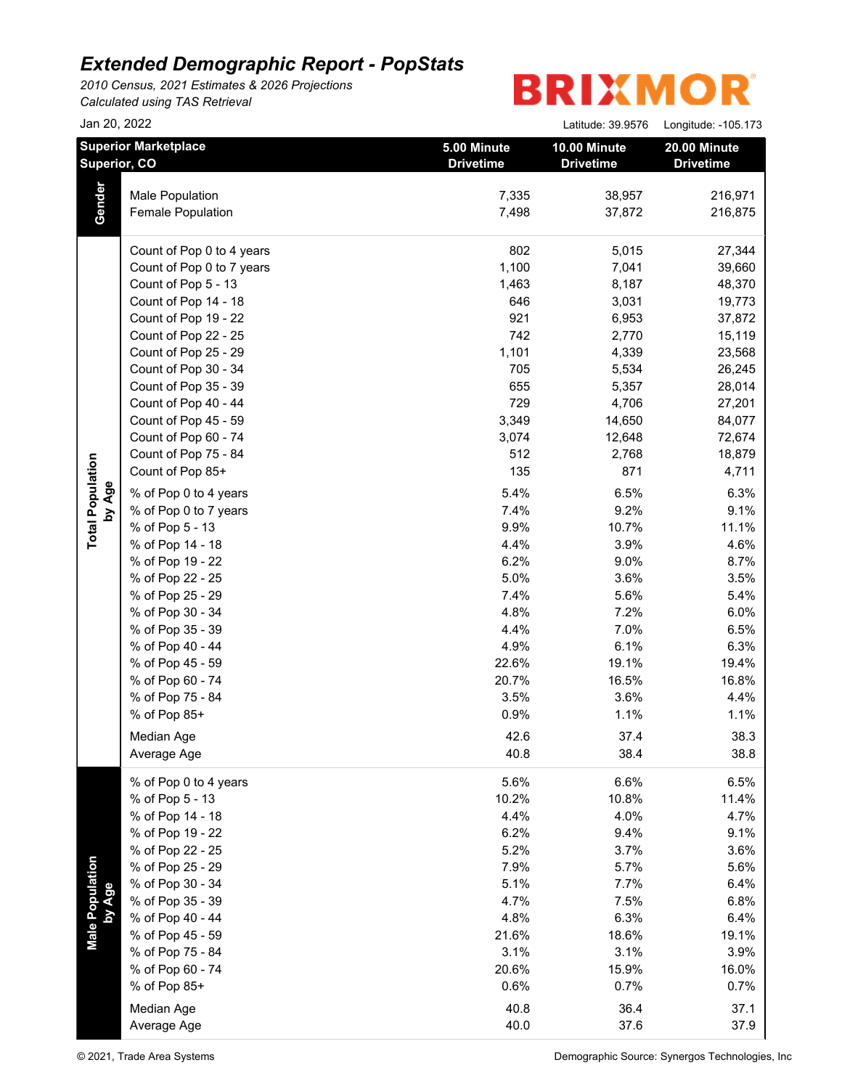*2010 Census, 2021 Estimates & 2026 Projections Calculated using TAS Retrieval*

# **BRIXMOR®**

|                           | Jan 20, 2022                                |                                 | Latitude: 39.9576                | Longitude: -105.173              |
|---------------------------|---------------------------------------------|---------------------------------|----------------------------------|----------------------------------|
|                           | <b>Superior Marketplace</b><br>Superior, CO | 5.00 Minute<br><b>Drivetime</b> | 10.00 Minute<br><b>Drivetime</b> | 20.00 Minute<br><b>Drivetime</b> |
|                           | Male Population                             | 7,335                           | 38,957                           | 216,971                          |
| Gender                    | <b>Female Population</b>                    | 7,498                           | 37,872                           | 216,875                          |
|                           | Count of Pop 0 to 4 years                   | 802                             | 5,015                            | 27,344                           |
|                           | Count of Pop 0 to 7 years                   | 1,100                           | 7,041                            | 39,660                           |
|                           | Count of Pop 5 - 13                         | 1,463                           | 8,187                            | 48,370                           |
|                           | Count of Pop 14 - 18                        | 646                             | 3,031                            | 19,773                           |
|                           | Count of Pop 19 - 22                        | 921                             | 6,953                            | 37,872                           |
|                           | Count of Pop 22 - 25                        | 742                             | 2,770                            | 15,119                           |
|                           | Count of Pop 25 - 29                        | 1,101                           | 4,339                            | 23,568                           |
|                           | Count of Pop 30 - 34                        | 705                             | 5,534                            | 26,245                           |
|                           | Count of Pop 35 - 39                        | 655                             | 5,357                            | 28,014                           |
|                           | Count of Pop 40 - 44                        | 729                             | 4,706                            | 27,201                           |
|                           | Count of Pop 45 - 59                        | 3,349                           | 14,650                           | 84,077                           |
|                           | Count of Pop 60 - 74                        | 3,074                           | 12,648                           | 72,674                           |
|                           | Count of Pop 75 - 84                        | 512                             | 2,768                            | 18,879                           |
|                           | Count of Pop 85+                            | 135                             | 871                              | 4,711                            |
| by Age                    | % of Pop 0 to 4 years                       | 5.4%                            | 6.5%                             | 6.3%                             |
|                           | % of Pop 0 to 7 years                       | 7.4%                            | 9.2%                             | 9.1%                             |
|                           | % of Pop 5 - 13                             | 9.9%                            | 10.7%                            | 11.1%                            |
|                           | % of Pop 14 - 18                            | 4.4%                            | 3.9%                             | 4.6%                             |
|                           | % of Pop 19 - 22                            | 6.2%                            | 9.0%                             | 8.7%                             |
|                           | % of Pop 22 - 25                            | 5.0%                            | 3.6%                             | 3.5%                             |
|                           | % of Pop 25 - 29                            | 7.4%                            | 5.6%                             | 5.4%                             |
|                           | % of Pop 30 - 34                            | 4.8%                            | 7.2%                             | 6.0%                             |
|                           | % of Pop 35 - 39                            | 4.4%                            | 7.0%                             | 6.5%                             |
|                           | % of Pop 40 - 44                            | 4.9%                            | 6.1%                             | 6.3%                             |
|                           | % of Pop 45 - 59                            | 22.6%                           | 19.1%                            | 19.4%                            |
|                           | % of Pop 60 - 74                            | 20.7%                           | 16.5%                            | 16.8%                            |
|                           | % of Pop 75 - 84                            | 3.5%                            | 3.6%                             | 4.4%                             |
|                           | % of Pop 85+                                | 0.9%                            | 1.1%                             | 1.1%                             |
|                           | Median Age                                  | 42.6                            | 37.4                             | 38.3                             |
|                           | Average Age                                 | 40.8                            | 38.4                             | 38.8                             |
|                           | % of Pop 0 to 4 years                       | 5.6%                            | 6.6%                             | 6.5%                             |
|                           | % of Pop 5 - 13                             | 10.2%                           | 10.8%                            | 11.4%                            |
|                           | % of Pop 14 - 18                            | 4.4%                            | 4.0%                             | 4.7%                             |
|                           | % of Pop 19 - 22                            | 6.2%                            | 9.4%                             | 9.1%                             |
|                           | % of Pop 22 - 25                            | 5.2%                            | 3.7%                             | 3.6%                             |
|                           | % of Pop 25 - 29                            | 7.9%                            | 5.7%                             | 5.6%                             |
|                           | % of Pop 30 - 34                            | 5.1%                            | 7.7%                             | 6.4%                             |
|                           | % of Pop 35 - 39                            | 4.7%                            | 7.5%                             | 6.8%                             |
|                           | % of Pop 40 - 44                            | 4.8%                            | 6.3%                             | 6.4%                             |
| Male Population<br>by Age | % of Pop 45 - 59                            | 21.6%                           | 18.6%                            | 19.1%                            |
|                           | % of Pop 75 - 84                            | 3.1%                            | 3.1%                             | 3.9%                             |
|                           | % of Pop 60 - 74<br>% of Pop 85+            | 20.6%                           | 15.9%                            | 16.0%                            |
|                           |                                             | 0.6%                            | 0.7%                             | 0.7%                             |
|                           | Median Age                                  | 40.8                            | 36.4                             | 37.1                             |
|                           | Average Age                                 | 40.0                            | 37.6                             | 37.9                             |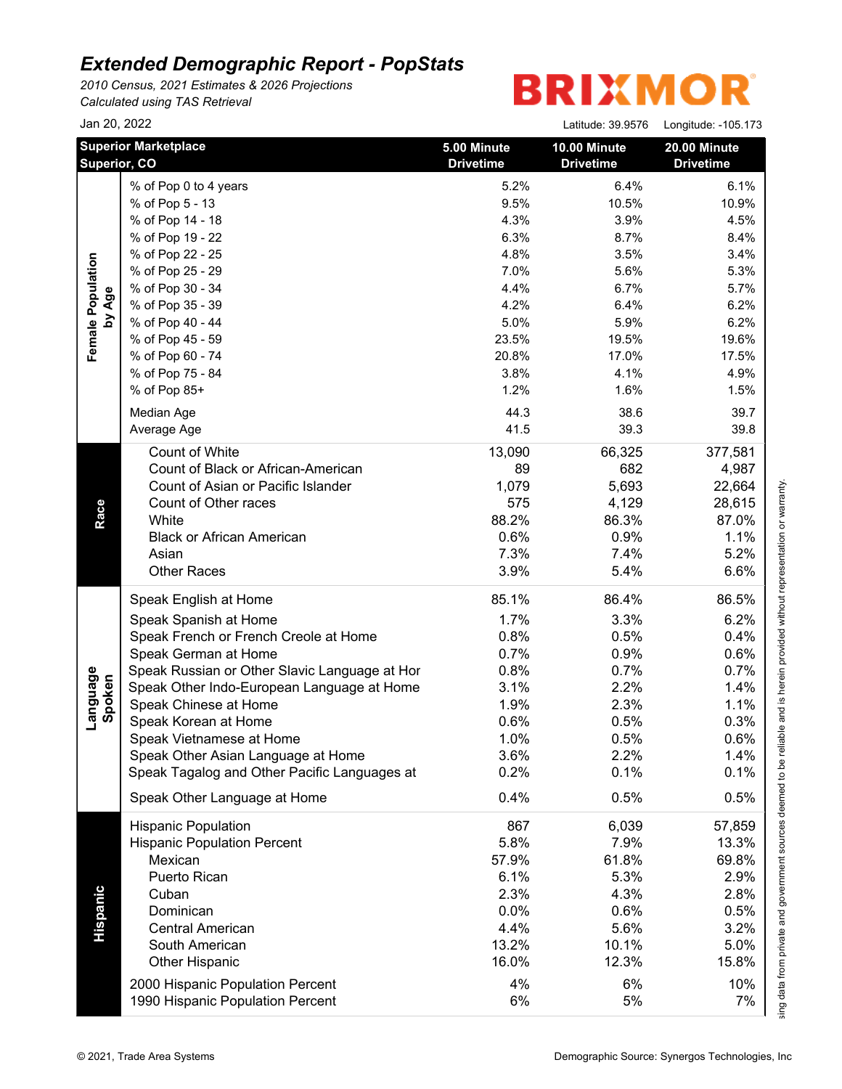*2010 Census, 2021 Estimates & 2026 Projections Calculated using TAS Retrieval*

# **BRIXMOR®**

|                    | Jan 20, 2022                                  |                                 | Latitude: 39.9576                | Longitude: -105.173              |
|--------------------|-----------------------------------------------|---------------------------------|----------------------------------|----------------------------------|
|                    | <b>Superior Marketplace</b><br>Superior, CO   | 5.00 Minute<br><b>Drivetime</b> | 10.00 Minute<br><b>Drivetime</b> | 20.00 Minute<br><b>Drivetime</b> |
|                    | % of Pop 0 to 4 years                         | 5.2%                            | 6.4%                             | 6.1%                             |
|                    | % of Pop 5 - 13                               | 9.5%                            | 10.5%                            | 10.9%                            |
|                    | % of Pop 14 - 18                              | 4.3%                            | 3.9%                             | 4.5%                             |
|                    | % of Pop 19 - 22                              | 6.3%                            | 8.7%                             | 8.4%                             |
|                    | % of Pop 22 - 25                              | 4.8%                            | 3.5%                             | 3.4%                             |
|                    | % of Pop 25 - 29                              | 7.0%                            | 5.6%                             | 5.3%                             |
|                    | % of Pop 30 - 34                              | 4.4%                            | 6.7%                             | 5.7%                             |
| by Age             | % of Pop 35 - 39                              | 4.2%                            | 6.4%                             | 6.2%                             |
|                    | % of Pop 40 - 44                              | 5.0%                            | 5.9%                             | 6.2%                             |
|                    | % of Pop 45 - 59                              | 23.5%                           | 19.5%                            | 19.6%                            |
|                    | % of Pop 60 - 74                              | 20.8%                           | 17.0%                            | 17.5%                            |
|                    | % of Pop 75 - 84                              | 3.8%                            | 4.1%                             | 4.9%                             |
|                    | % of Pop 85+                                  | 1.2%                            | 1.6%                             | 1.5%                             |
|                    | Median Age                                    | 44.3                            | 38.6                             | 39.7                             |
|                    | Average Age                                   | 41.5                            | 39.3                             | 39.8                             |
|                    |                                               |                                 |                                  |                                  |
|                    | <b>Count of White</b>                         | 13,090                          | 66,325                           | 377,581                          |
|                    | Count of Black or African-American            | 89                              | 682                              | 4,987                            |
|                    | Count of Asian or Pacific Islander            | 1,079                           | 5,693                            | 22,664                           |
|                    | Count of Other races                          | 575                             | 4,129                            | 28,615                           |
|                    | White                                         | 88.2%                           | 86.3%                            | 87.0%                            |
|                    | <b>Black or African American</b>              | 0.6%                            | 0.9%                             | 1.1%                             |
|                    | Asian                                         | 7.3%                            | 7.4%                             | 5.2%                             |
|                    | <b>Other Races</b>                            | 3.9%                            | 5.4%                             | 6.6%                             |
|                    | Speak English at Home                         | 85.1%                           | 86.4%                            | 86.5%                            |
|                    | Speak Spanish at Home                         | 1.7%                            | 3.3%                             | 6.2%                             |
|                    | Speak French or French Creole at Home         | 0.8%                            | 0.5%                             | 0.4%                             |
|                    | Speak German at Home                          | 0.7%                            | 0.9%                             | 0.6%                             |
|                    | Speak Russian or Other Slavic Language at Hor | 0.8%                            | 0.7%                             | 0.7%                             |
| Language<br>Spoken | Speak Other Indo-European Language at Home    | 3.1%                            | 2.2%                             | 1.4%                             |
|                    | Speak Chinese at Home                         | 1.9%                            | 2.3%                             | 1.1%                             |
|                    | Speak Korean at Home                          | 0.6%                            | 0.5%                             | 0.3%                             |
|                    | Speak Vietnamese at Home                      | 1.0%                            | 0.5%                             | 0.6%                             |
|                    | Speak Other Asian Language at Home            | 3.6%                            | 2.2%                             | 1.4%                             |
|                    | Speak Tagalog and Other Pacific Languages at  | 0.2%                            | 0.1%                             | 0.1%                             |
|                    | Speak Other Language at Home                  | 0.4%                            | 0.5%                             | 0.5%                             |
|                    | <b>Hispanic Population</b>                    | 867                             | 6,039                            | 57,859                           |
|                    | <b>Hispanic Population Percent</b>            | 5.8%                            | 7.9%                             | 13.3%                            |
|                    | Mexican                                       | 57.9%                           | 61.8%                            | 69.8%                            |
|                    | Puerto Rican                                  | 6.1%                            | 5.3%                             | 2.9%                             |
|                    | Cuban                                         | 2.3%                            | 4.3%                             | 2.8%                             |
|                    | Dominican                                     | 0.0%                            | 0.6%                             | 0.5%                             |
|                    | <b>Central American</b>                       | 4.4%                            | 5.6%                             | 3.2%                             |
|                    | South American                                | 13.2%                           | 10.1%                            | 5.0%                             |
|                    | Other Hispanic                                | 16.0%                           | 12.3%                            | 15.8%                            |
|                    | 2000 Hispanic Population Percent              | 4%                              | 6%                               | 10%                              |
|                    |                                               |                                 |                                  |                                  |

This report was produced using data from private and government sources deemed to be reliable and is herein provided without representation or warranty.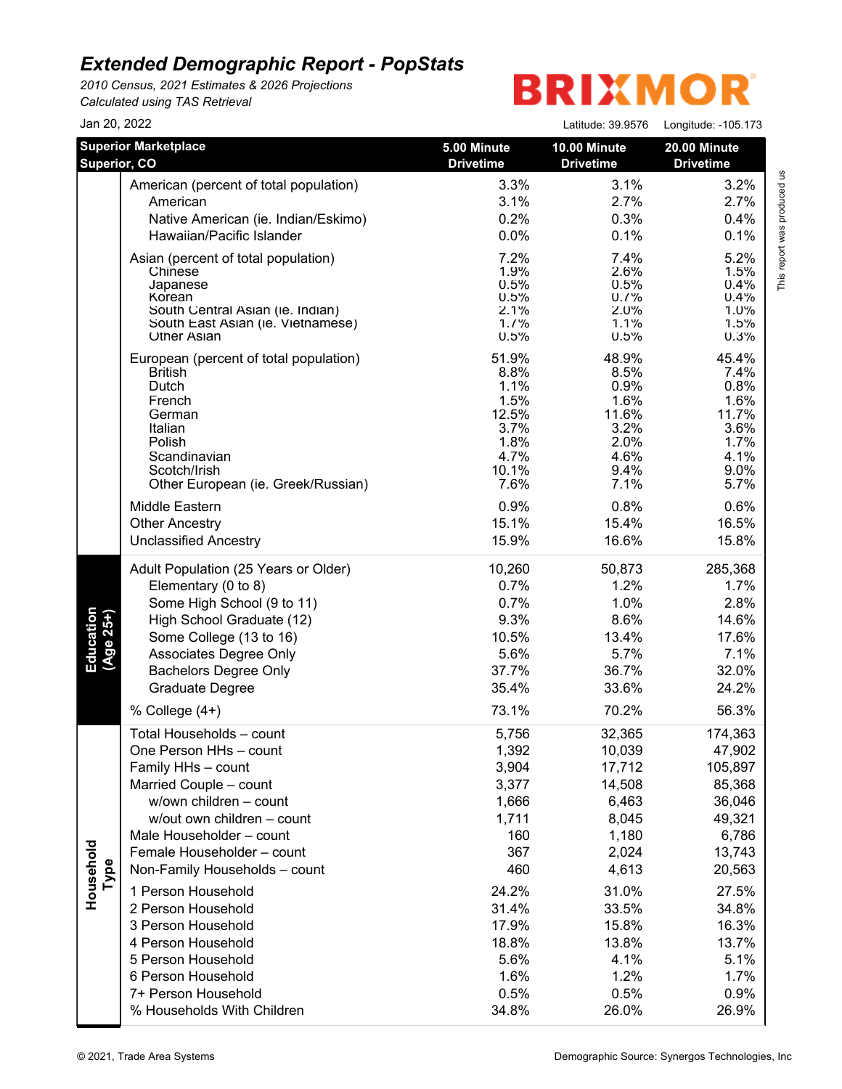*2010 Census, 2021 Estimates & 2026 Projections Calculated using TAS Retrieval*

# **BRIXMOR**

| Jan 20, 2022           |                                                                                                                                                                                                                                                                                                                                                                                                                                                |                                                                                                                                              | Latitude: 39.9576                                                                                                                                      | Longitude: -105.173                                                                                                                                          |
|------------------------|------------------------------------------------------------------------------------------------------------------------------------------------------------------------------------------------------------------------------------------------------------------------------------------------------------------------------------------------------------------------------------------------------------------------------------------------|----------------------------------------------------------------------------------------------------------------------------------------------|--------------------------------------------------------------------------------------------------------------------------------------------------------|--------------------------------------------------------------------------------------------------------------------------------------------------------------|
| Superior, CO           | <b>Superior Marketplace</b>                                                                                                                                                                                                                                                                                                                                                                                                                    | 5.00 Minute<br><b>Drivetime</b>                                                                                                              | 10.00 Minute<br><b>Drivetime</b>                                                                                                                       | 20.00 Minute<br><b>Drivetime</b>                                                                                                                             |
|                        | American (percent of total population)                                                                                                                                                                                                                                                                                                                                                                                                         | 3.3%                                                                                                                                         | 3.1%                                                                                                                                                   | 3.2%                                                                                                                                                         |
|                        | American                                                                                                                                                                                                                                                                                                                                                                                                                                       | 3.1%                                                                                                                                         | 2.7%                                                                                                                                                   | 2.7%                                                                                                                                                         |
|                        | Native American (ie. Indian/Eskimo)                                                                                                                                                                                                                                                                                                                                                                                                            | 0.2%                                                                                                                                         | 0.3%                                                                                                                                                   | 0.4%                                                                                                                                                         |
|                        | Hawaiian/Pacific Islander                                                                                                                                                                                                                                                                                                                                                                                                                      | 0.0%                                                                                                                                         | 0.1%                                                                                                                                                   | 0.1%                                                                                                                                                         |
|                        | Asian (percent of total population)                                                                                                                                                                                                                                                                                                                                                                                                            | 7.2%                                                                                                                                         | 7.4%                                                                                                                                                   | 5.2%                                                                                                                                                         |
|                        | Chinese                                                                                                                                                                                                                                                                                                                                                                                                                                        | 1.9%                                                                                                                                         | 2.6%                                                                                                                                                   | 1.5%                                                                                                                                                         |
|                        | Japanese                                                                                                                                                                                                                                                                                                                                                                                                                                       | 0.5%                                                                                                                                         | 0.5%                                                                                                                                                   | 0.4%                                                                                                                                                         |
|                        | Korean                                                                                                                                                                                                                                                                                                                                                                                                                                         | 0.5%                                                                                                                                         | 0.7%                                                                                                                                                   | 0.4%                                                                                                                                                         |
|                        | South Central Asian (ie. Indian)                                                                                                                                                                                                                                                                                                                                                                                                               | 2.1%                                                                                                                                         | 2.0%                                                                                                                                                   | $1.0\%$                                                                                                                                                      |
|                        | South East Asian (ie. Vietnamese)                                                                                                                                                                                                                                                                                                                                                                                                              | 1.7%                                                                                                                                         | 1.1%                                                                                                                                                   | 1.5%                                                                                                                                                         |
|                        | <b>Other Asian</b>                                                                                                                                                                                                                                                                                                                                                                                                                             | 0.5%                                                                                                                                         | 0.5%                                                                                                                                                   | 0.3%                                                                                                                                                         |
|                        | European (percent of total population)                                                                                                                                                                                                                                                                                                                                                                                                         | 51.9%                                                                                                                                        | 48.9%                                                                                                                                                  | 45.4%                                                                                                                                                        |
|                        | <b>British</b>                                                                                                                                                                                                                                                                                                                                                                                                                                 | 8.8%                                                                                                                                         | 8.5%                                                                                                                                                   | 7.4%                                                                                                                                                         |
|                        | Dutch                                                                                                                                                                                                                                                                                                                                                                                                                                          | 1.1%                                                                                                                                         | 0.9%                                                                                                                                                   | 0.8%                                                                                                                                                         |
|                        | French                                                                                                                                                                                                                                                                                                                                                                                                                                         | 1.5%                                                                                                                                         | 1.6%                                                                                                                                                   | 1.6%                                                                                                                                                         |
|                        | German                                                                                                                                                                                                                                                                                                                                                                                                                                         | 12.5%                                                                                                                                        | 11.6%                                                                                                                                                  | 11.7%                                                                                                                                                        |
|                        | Italian                                                                                                                                                                                                                                                                                                                                                                                                                                        | 3.7%                                                                                                                                         | 3.2%                                                                                                                                                   | 3.6%                                                                                                                                                         |
|                        | Polish                                                                                                                                                                                                                                                                                                                                                                                                                                         | 1.8%                                                                                                                                         | 2.0%                                                                                                                                                   | 1.7%                                                                                                                                                         |
|                        | Scandinavian                                                                                                                                                                                                                                                                                                                                                                                                                                   | 4.7%                                                                                                                                         | 4.6%                                                                                                                                                   | 4.1%                                                                                                                                                         |
|                        | Scotch/Irish                                                                                                                                                                                                                                                                                                                                                                                                                                   | 10.1%                                                                                                                                        | 9.4%                                                                                                                                                   | 9.0%                                                                                                                                                         |
|                        | Other European (ie. Greek/Russian)                                                                                                                                                                                                                                                                                                                                                                                                             | 7.6%                                                                                                                                         | 7.1%                                                                                                                                                   | 5.7%                                                                                                                                                         |
|                        | Middle Eastern                                                                                                                                                                                                                                                                                                                                                                                                                                 | 0.9%                                                                                                                                         | 0.8%                                                                                                                                                   | 0.6%                                                                                                                                                         |
|                        | <b>Other Ancestry</b>                                                                                                                                                                                                                                                                                                                                                                                                                          | 15.1%                                                                                                                                        | 15.4%                                                                                                                                                  | 16.5%                                                                                                                                                        |
|                        | <b>Unclassified Ancestry</b>                                                                                                                                                                                                                                                                                                                                                                                                                   | 15.9%                                                                                                                                        | 16.6%                                                                                                                                                  | 15.8%                                                                                                                                                        |
| Education<br>(Age 25+) | Adult Population (25 Years or Older)                                                                                                                                                                                                                                                                                                                                                                                                           | 10,260                                                                                                                                       | 50,873                                                                                                                                                 | 285,368                                                                                                                                                      |
|                        | Elementary (0 to 8)                                                                                                                                                                                                                                                                                                                                                                                                                            | 0.7%                                                                                                                                         | 1.2%                                                                                                                                                   | 1.7%                                                                                                                                                         |
|                        | Some High School (9 to 11)                                                                                                                                                                                                                                                                                                                                                                                                                     | 0.7%                                                                                                                                         | 1.0%                                                                                                                                                   | 2.8%                                                                                                                                                         |
|                        | High School Graduate (12)                                                                                                                                                                                                                                                                                                                                                                                                                      | 9.3%                                                                                                                                         | 8.6%                                                                                                                                                   | 14.6%                                                                                                                                                        |
|                        | Some College (13 to 16)                                                                                                                                                                                                                                                                                                                                                                                                                        | 10.5%                                                                                                                                        | 13.4%                                                                                                                                                  | 17.6%                                                                                                                                                        |
|                        | Associates Degree Only                                                                                                                                                                                                                                                                                                                                                                                                                         | 5.6%                                                                                                                                         | 5.7%                                                                                                                                                   | 7.1%                                                                                                                                                         |
|                        | <b>Bachelors Degree Only</b>                                                                                                                                                                                                                                                                                                                                                                                                                   | 37.7%                                                                                                                                        | 36.7%                                                                                                                                                  | 32.0%                                                                                                                                                        |
|                        | Graduate Degree                                                                                                                                                                                                                                                                                                                                                                                                                                | 35.4%                                                                                                                                        | 33.6%                                                                                                                                                  | 24.2%                                                                                                                                                        |
|                        | % College (4+)                                                                                                                                                                                                                                                                                                                                                                                                                                 | 73.1%                                                                                                                                        | 70.2%                                                                                                                                                  | 56.3%                                                                                                                                                        |
| Household<br>Type      | Total Households - count<br>One Person HHs - count<br>Family HHs - count<br>Married Couple - count<br>w/own children - count<br>w/out own children - count<br>Male Householder - count<br>Female Householder - count<br>Non-Family Households - count<br>1 Person Household<br>2 Person Household<br>3 Person Household<br>4 Person Household<br>5 Person Household<br>6 Person Household<br>7+ Person Household<br>% Households With Children | 5,756<br>1,392<br>3,904<br>3,377<br>1,666<br>1,711<br>160<br>367<br>460<br>24.2%<br>31.4%<br>17.9%<br>18.8%<br>5.6%<br>1.6%<br>0.5%<br>34.8% | 32,365<br>10,039<br>17,712<br>14,508<br>6,463<br>8,045<br>1,180<br>2,024<br>4,613<br>31.0%<br>33.5%<br>15.8%<br>13.8%<br>4.1%<br>1.2%<br>0.5%<br>26.0% | 174,363<br>47,902<br>105,897<br>85,368<br>36,046<br>49,321<br>6,786<br>13,743<br>20,563<br>27.5%<br>34.8%<br>16.3%<br>13.7%<br>5.1%<br>1.7%<br>0.9%<br>26.9% |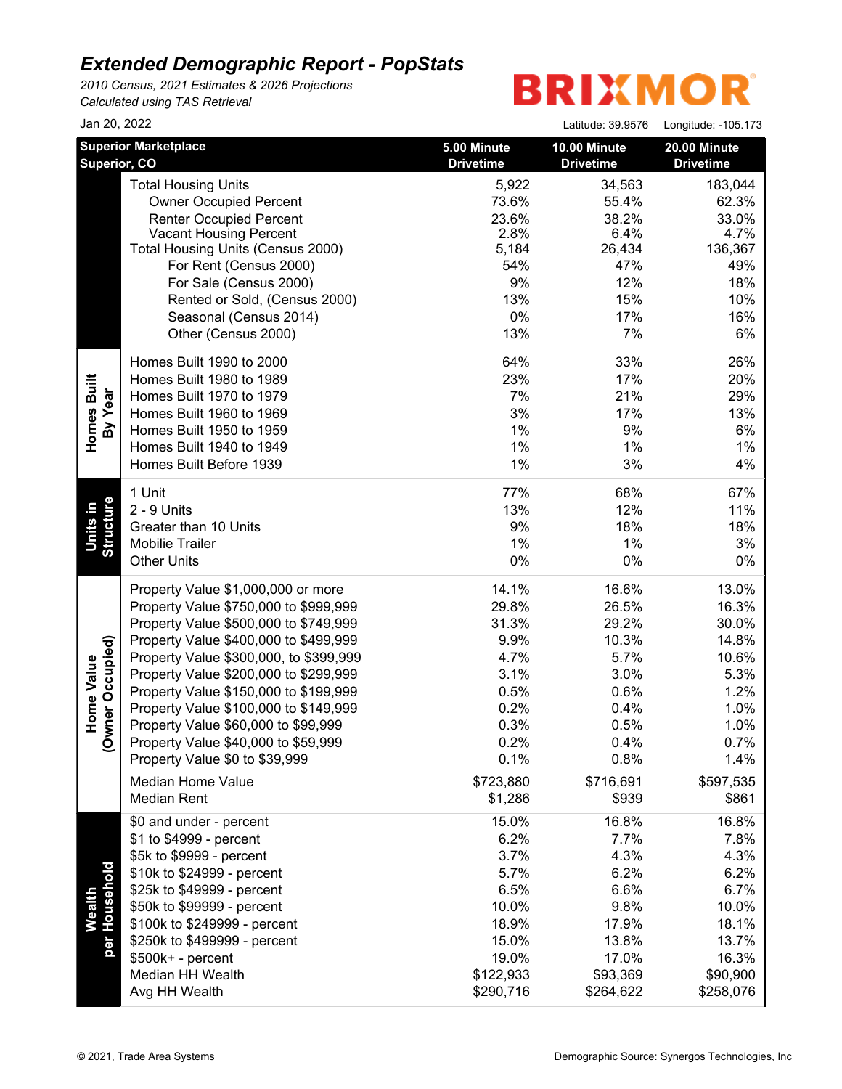*2010 Census, 2021 Estimates & 2026 Projections Calculated using TAS Retrieval*

## **BRIXMOR®**

| Jan 20, 2022                 |                                        |                                 | Latitude: 39.9576                | Longitude: -105.173                     |
|------------------------------|----------------------------------------|---------------------------------|----------------------------------|-----------------------------------------|
| Superior, CO                 | <b>Superior Marketplace</b>            | 5.00 Minute<br><b>Drivetime</b> | 10.00 Minute<br><b>Drivetime</b> | <b>20.00 Minute</b><br><b>Drivetime</b> |
|                              | <b>Total Housing Units</b>             | 5,922                           | 34,563                           | 183,044                                 |
|                              | <b>Owner Occupied Percent</b>          | 73.6%                           | 55.4%                            | 62.3%                                   |
|                              | <b>Renter Occupied Percent</b>         | 23.6%                           | 38.2%                            | 33.0%                                   |
|                              | <b>Vacant Housing Percent</b>          | 2.8%                            | 6.4%                             | 4.7%                                    |
|                              | Total Housing Units (Census 2000)      | 5,184                           | 26,434                           | 136,367                                 |
|                              | For Rent (Census 2000)                 | 54%                             | 47%                              | 49%                                     |
|                              | For Sale (Census 2000)                 | 9%                              | 12%                              | 18%                                     |
|                              | Rented or Sold, (Census 2000)          | 13%                             | 15%                              | 10%                                     |
|                              | Seasonal (Census 2014)                 | 0%                              | 17%                              | 16%                                     |
|                              | Other (Census 2000)                    | 13%                             | 7%                               | 6%                                      |
|                              | Homes Built 1990 to 2000               | 64%                             | 33%                              | 26%                                     |
| Homes Built                  | Homes Built 1980 to 1989               | 23%                             | 17%                              | 20%                                     |
| By Year                      | Homes Built 1970 to 1979               | 7%                              | 21%                              | 29%                                     |
|                              | Homes Built 1960 to 1969               | 3%                              | 17%                              | 13%                                     |
|                              | Homes Built 1950 to 1959               | 1%                              | 9%                               | 6%                                      |
|                              | Homes Built 1940 to 1949               | 1%                              | 1%                               | 1%                                      |
|                              | Homes Built Before 1939                | 1%                              | 3%                               | 4%                                      |
|                              | 1 Unit                                 | 77%                             | 68%                              | 67%                                     |
| <b>Structure</b><br>Units in | 2 - 9 Units                            | 13%                             | 12%                              | 11%                                     |
|                              | Greater than 10 Units                  | 9%                              | 18%                              | 18%                                     |
|                              | <b>Mobilie Trailer</b>                 | 1%                              | 1%                               | 3%                                      |
|                              | <b>Other Units</b>                     | 0%                              | $0\%$                            | $0\%$                                   |
|                              | Property Value \$1,000,000 or more     | 14.1%                           | 16.6%                            | 13.0%                                   |
|                              | Property Value \$750,000 to \$999,999  | 29.8%                           | 26.5%                            | 16.3%                                   |
|                              | Property Value \$500,000 to \$749,999  | 31.3%                           | 29.2%                            | 30.0%                                   |
|                              | Property Value \$400,000 to \$499,999  | 9.9%                            | 10.3%                            | 14.8%                                   |
| wner Occupied)               | Property Value \$300,000, to \$399,999 | 4.7%                            | 5.7%                             | 10.6%                                   |
| Home Value                   | Property Value \$200,000 to \$299,999  | 3.1%                            | 3.0%                             | 5.3%                                    |
|                              | Property Value \$150,000 to \$199,999  | 0.5%                            | 0.6%                             | 1.2%                                    |
|                              | Property Value \$100,000 to \$149,999  | 0.2%                            | 0.4%                             | 1.0%                                    |
|                              | Property Value \$60,000 to \$99,999    | 0.3%                            | 0.5%                             | 1.0%                                    |
| Q                            | Property Value \$40,000 to \$59,999    | 0.2%                            | 0.4%                             | 0.7%                                    |
|                              | Property Value \$0 to \$39,999         | 0.1%                            | 0.8%                             | 1.4%                                    |
|                              | <b>Median Home Value</b>               | \$723,880                       | \$716,691                        | \$597,535                               |
|                              | <b>Median Rent</b>                     | \$1,286                         | \$939                            | \$861                                   |
|                              | \$0 and under - percent                | 15.0%                           | 16.8%                            | 16.8%                                   |
|                              | \$1 to \$4999 - percent                | 6.2%                            | 7.7%                             | 7.8%                                    |
|                              | \$5k to \$9999 - percent               | 3.7%                            | 4.3%                             | 4.3%                                    |
|                              | \$10k to \$24999 - percent             | 5.7%                            | 6.2%                             | 6.2%                                    |
|                              | \$25k to \$49999 - percent             | 6.5%                            | 6.6%                             | 6.7%                                    |
| per Household<br>Wealth      | \$50k to \$99999 - percent             | 10.0%                           | 9.8%                             | 10.0%                                   |
|                              | \$100k to \$249999 - percent           | 18.9%                           | 17.9%                            | 18.1%                                   |
|                              | \$250k to \$499999 - percent           | 15.0%                           | 13.8%                            | 13.7%                                   |
|                              | \$500k+ - percent                      | 19.0%                           | 17.0%                            | 16.3%                                   |
|                              | Median HH Wealth                       | \$122,933                       | \$93,369                         | \$90,900                                |
|                              | Avg HH Wealth                          | \$290,716                       | \$264,622                        | \$258,076                               |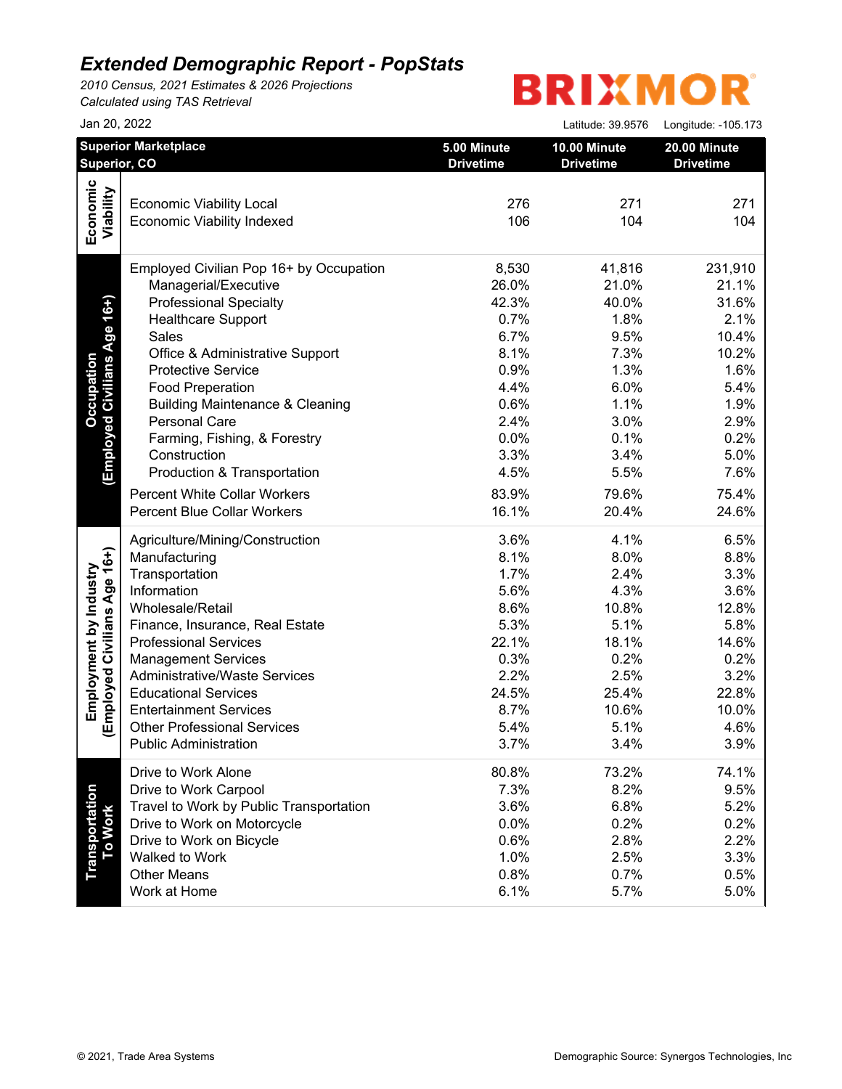*2010 Census, 2021 Estimates & 2026 Projections Calculated using TAS Retrieval*

# **BRIXMOR®**

|                                                       | Jan 20, 2022                                                                                                                                                                                                                                                                                                                                                                         |                                                                                                        | Latitude: 39.9576                                                                                        | Longitude: - 105.173                                                                                     |
|-------------------------------------------------------|--------------------------------------------------------------------------------------------------------------------------------------------------------------------------------------------------------------------------------------------------------------------------------------------------------------------------------------------------------------------------------------|--------------------------------------------------------------------------------------------------------|----------------------------------------------------------------------------------------------------------|----------------------------------------------------------------------------------------------------------|
|                                                       | <b>Superior Marketplace</b>                                                                                                                                                                                                                                                                                                                                                          | 5.00 Minute                                                                                            | 10.00 Minute                                                                                             | 20.00 Minute                                                                                             |
|                                                       | Superior, CO                                                                                                                                                                                                                                                                                                                                                                         | <b>Drivetime</b>                                                                                       | <b>Drivetime</b>                                                                                         | <b>Drivetime</b>                                                                                         |
| Economic                                              | <b>Economic Viability Local</b>                                                                                                                                                                                                                                                                                                                                                      | 276                                                                                                    | 271                                                                                                      | 271                                                                                                      |
| Viability                                             | <b>Economic Viability Indexed</b>                                                                                                                                                                                                                                                                                                                                                    | 106                                                                                                    | 104                                                                                                      | 104                                                                                                      |
| (Employed Civilians Age 16+)<br><b>Occupation</b>     | Employed Civilian Pop 16+ by Occupation<br>Managerial/Executive<br><b>Professional Specialty</b><br><b>Healthcare Support</b><br>Sales<br>Office & Administrative Support<br><b>Protective Service</b><br><b>Food Preperation</b><br><b>Building Maintenance &amp; Cleaning</b><br>Personal Care<br>Farming, Fishing, & Forestry<br>Construction                                     | 8,530<br>26.0%<br>42.3%<br>0.7%<br>6.7%<br>8.1%<br>0.9%<br>4.4%<br>0.6%<br>2.4%<br>0.0%<br>3.3%        | 41,816<br>21.0%<br>40.0%<br>1.8%<br>9.5%<br>7.3%<br>1.3%<br>6.0%<br>1.1%<br>3.0%<br>0.1%<br>3.4%         | 231,910<br>21.1%<br>31.6%<br>2.1%<br>10.4%<br>10.2%<br>1.6%<br>5.4%<br>1.9%<br>2.9%<br>0.2%<br>5.0%      |
|                                                       | Production & Transportation                                                                                                                                                                                                                                                                                                                                                          | 4.5%                                                                                                   | 5.5%                                                                                                     | 7.6%                                                                                                     |
|                                                       | <b>Percent White Collar Workers</b>                                                                                                                                                                                                                                                                                                                                                  | 83.9%                                                                                                  | 79.6%                                                                                                    | 75.4%                                                                                                    |
|                                                       | <b>Percent Blue Collar Workers</b>                                                                                                                                                                                                                                                                                                                                                   | 16.1%                                                                                                  | 20.4%                                                                                                    | 24.6%                                                                                                    |
| Employed Civilians Age 16+)<br>Employment by Industry | Agriculture/Mining/Construction<br>Manufacturing<br>Transportation<br>Information<br>Wholesale/Retail<br>Finance, Insurance, Real Estate<br><b>Professional Services</b><br><b>Management Services</b><br><b>Administrative/Waste Services</b><br><b>Educational Services</b><br><b>Entertainment Services</b><br><b>Other Professional Services</b><br><b>Public Administration</b> | 3.6%<br>8.1%<br>1.7%<br>5.6%<br>8.6%<br>5.3%<br>22.1%<br>0.3%<br>2.2%<br>24.5%<br>8.7%<br>5.4%<br>3.7% | 4.1%<br>8.0%<br>2.4%<br>4.3%<br>10.8%<br>5.1%<br>18.1%<br>0.2%<br>2.5%<br>25.4%<br>10.6%<br>5.1%<br>3.4% | 6.5%<br>8.8%<br>3.3%<br>3.6%<br>12.8%<br>5.8%<br>14.6%<br>0.2%<br>3.2%<br>22.8%<br>10.0%<br>4.6%<br>3.9% |
| Transportation<br>To Work                             | Drive to Work Alone                                                                                                                                                                                                                                                                                                                                                                  | 80.8%                                                                                                  | 73.2%                                                                                                    | 74.1%                                                                                                    |
|                                                       | Drive to Work Carpool                                                                                                                                                                                                                                                                                                                                                                | 7.3%                                                                                                   | 8.2%                                                                                                     | 9.5%                                                                                                     |
|                                                       | Travel to Work by Public Transportation                                                                                                                                                                                                                                                                                                                                              | 3.6%                                                                                                   | 6.8%                                                                                                     | 5.2%                                                                                                     |
|                                                       | Drive to Work on Motorcycle                                                                                                                                                                                                                                                                                                                                                          | 0.0%                                                                                                   | 0.2%                                                                                                     | 0.2%                                                                                                     |
|                                                       | Drive to Work on Bicycle                                                                                                                                                                                                                                                                                                                                                             | 0.6%                                                                                                   | 2.8%                                                                                                     | 2.2%                                                                                                     |
|                                                       | Walked to Work                                                                                                                                                                                                                                                                                                                                                                       | 1.0%                                                                                                   | 2.5%                                                                                                     | 3.3%                                                                                                     |
|                                                       | <b>Other Means</b>                                                                                                                                                                                                                                                                                                                                                                   | 0.8%                                                                                                   | 0.7%                                                                                                     | 0.5%                                                                                                     |
|                                                       | Work at Home                                                                                                                                                                                                                                                                                                                                                                         | 6.1%                                                                                                   | 5.7%                                                                                                     | 5.0%                                                                                                     |